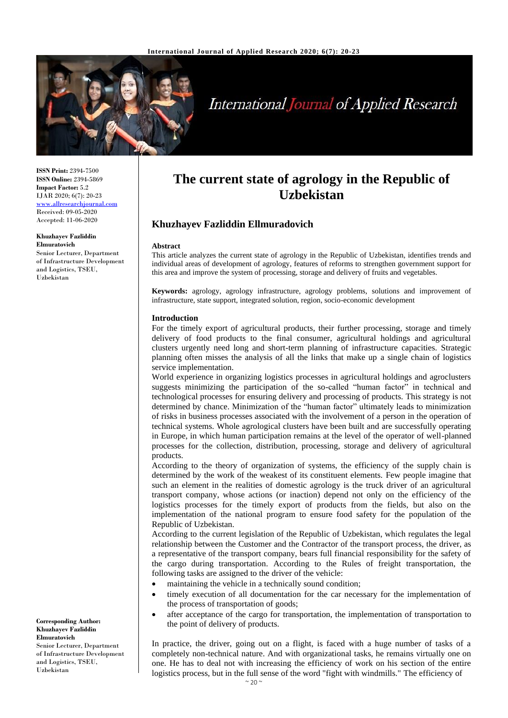

# **International Journal of Applied Research**

**ISSN Print:** 2394-7500 **ISSN Online:** 2394-5869 **Impact Factor:** 5.2 IJAR 2020; 6(7): 20-23 <www.allresearchjournal.com> Received: 09-05-2020 Accepted: 11-06-2020

**Khuzhayev Fazliddin Elmuratovich**

Senior Lecturer, Department of Infrastructure Development and Logistics, TSEU, Uzbekistan

**Corresponding Author: Khuzhayev Fazliddin Elmuratovich** Senior Lecturer, Department of Infrastructure Development and Logistics, TSEU, Uzbekistan

# **The current state of agrology in the Republic of Uzbekistan**

## **Khuzhayev Fazliddin Ellmuradovich**

#### **Abstract**

This article analyzes the current state of agrology in the Republic of Uzbekistan, identifies trends and individual areas of development of agrology, features of reforms to strengthen government support for this area and improve the system of processing, storage and delivery of fruits and vegetables.

**Keywords:** agrology, agrology infrastructure, agrology problems, solutions and improvement of infrastructure, state support, integrated solution, region, socio-economic development

#### **Introduction**

For the timely export of agricultural products, their further processing, storage and timely delivery of food products to the final consumer, agricultural holdings and agricultural clusters urgently need long and short-term planning of infrastructure capacities. Strategic planning often misses the analysis of all the links that make up a single chain of logistics service implementation.

World experience in organizing logistics processes in agricultural holdings and agroclusters suggests minimizing the participation of the so-called "human factor" in technical and technological processes for ensuring delivery and processing of products. This strategy is not determined by chance. Minimization of the "human factor" ultimately leads to minimization of risks in business processes associated with the involvement of a person in the operation of technical systems. Whole agrological clusters have been built and are successfully operating in Europe, in which human participation remains at the level of the operator of well-planned processes for the collection, distribution, processing, storage and delivery of agricultural products.

According to the theory of organization of systems, the efficiency of the supply chain is determined by the work of the weakest of its constituent elements. Few people imagine that such an element in the realities of domestic agrology is the truck driver of an agricultural transport company, whose actions (or inaction) depend not only on the efficiency of the logistics processes for the timely export of products from the fields, but also on the implementation of the national program to ensure food safety for the population of the Republic of Uzbekistan.

According to the current legislation of the Republic of Uzbekistan, which regulates the legal relationship between the Customer and the Contractor of the transport process, the driver, as a representative of the transport company, bears full financial responsibility for the safety of the cargo during transportation. According to the Rules of freight transportation, the following tasks are assigned to the driver of the vehicle:

- maintaining the vehicle in a technically sound condition;
- timely execution of all documentation for the car necessary for the implementation of the process of transportation of goods;
- after acceptance of the cargo for transportation, the implementation of transportation to the point of delivery of products.

In practice, the driver, going out on a flight, is faced with a huge number of tasks of a completely non-technical nature. And with organizational tasks, he remains virtually one on one. He has to deal not with increasing the efficiency of work on his section of the entire logistics process, but in the full sense of the word "fight with windmills." The efficiency of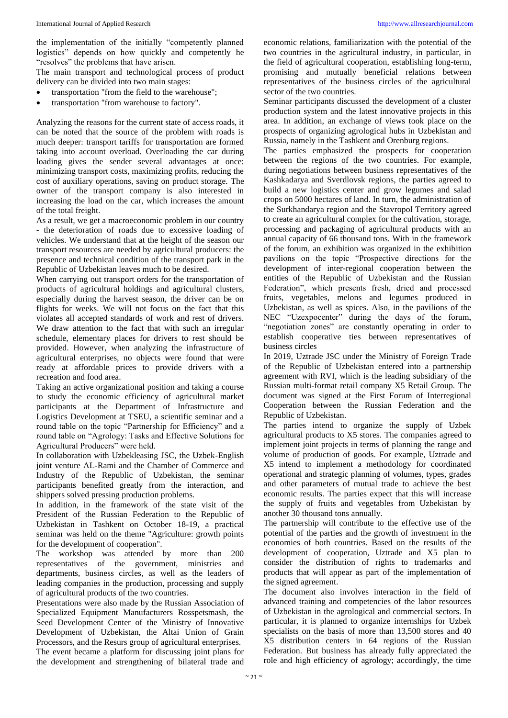the implementation of the initially "competently planned logistics" depends on how quickly and competently he "resolves" the problems that have arisen.

The main transport and technological process of product delivery can be divided into two main stages:

- transportation "from the field to the warehouse";
- transportation "from warehouse to factory".

Analyzing the reasons for the current state of access roads, it can be noted that the source of the problem with roads is much deeper: transport tariffs for transportation are formed taking into account overload. Overloading the car during loading gives the sender several advantages at once: minimizing transport costs, maximizing profits, reducing the cost of auxiliary operations, saving on product storage. The owner of the transport company is also interested in increasing the load on the car, which increases the amount of the total freight.

As a result, we get a macroeconomic problem in our country - the deterioration of roads due to excessive loading of vehicles. We understand that at the height of the season our transport resources are needed by agricultural producers: the presence and technical condition of the transport park in the Republic of Uzbekistan leaves much to be desired.

When carrying out transport orders for the transportation of products of agricultural holdings and agricultural clusters, especially during the harvest season, the driver can be on flights for weeks. We will not focus on the fact that this violates all accepted standards of work and rest of drivers. We draw attention to the fact that with such an irregular schedule, elementary places for drivers to rest should be provided. However, when analyzing the infrastructure of agricultural enterprises, no objects were found that were ready at affordable prices to provide drivers with a recreation and food area.

Taking an active organizational position and taking a course to study the economic efficiency of agricultural market participants at the Department of Infrastructure and Logistics Development at TSEU, a scientific seminar and a round table on the topic "Partnership for Efficiency" and a round table on "Agrology: Tasks and Effective Solutions for Agricultural Producers" were held.

In collaboration with Uzbekleasing JSC, the Uzbek-English joint venture AL-Rami and the Chamber of Commerce and Industry of the Republic of Uzbekistan, the seminar participants benefited greatly from the interaction, and shippers solved pressing production problems.

In addition, in the framework of the state visit of the President of the Russian Federation to the Republic of Uzbekistan in Tashkent on October 18-19, a practical seminar was held on the theme "Agriculture: growth points for the development of cooperation".

The workshop was attended by more than 200 representatives of the government, ministries and departments, business circles, as well as the leaders of leading companies in the production, processing and supply of agricultural products of the two countries.

Presentations were also made by the Russian Association of Specialized Equipment Manufacturers Rosspetsmash, the Seed Development Center of the Ministry of Innovative Development of Uzbekistan, the Altai Union of Grain Processors, and the Resurs group of agricultural enterprises. The event became a platform for discussing joint plans for the development and strengthening of bilateral trade and economic relations, familiarization with the potential of the two countries in the agricultural industry, in particular, in the field of agricultural cooperation, establishing long-term, promising and mutually beneficial relations between representatives of the business circles of the agricultural sector of the two countries.

Seminar participants discussed the development of a cluster production system and the latest innovative projects in this area. In addition, an exchange of views took place on the prospects of organizing agrological hubs in Uzbekistan and Russia, namely in the Tashkent and Orenburg regions.

The parties emphasized the prospects for cooperation between the regions of the two countries. For example, during negotiations between business representatives of the Kashkadarya and Sverdlovsk regions, the parties agreed to build a new logistics center and grow legumes and salad crops on 5000 hectares of land. In turn, the administration of the Surkhandarya region and the Stavropol Territory agreed to create an agricultural complex for the cultivation, storage, processing and packaging of agricultural products with an annual capacity of 66 thousand tons. With in the framework of the forum, an exhibition was organized in the exhibition pavilions on the topic "Prospective directions for the development of inter-regional cooperation between the entities of the Republic of Uzbekistan and the Russian Federation", which presents fresh, dried and processed fruits, vegetables, melons and legumes produced in Uzbekistan, as well as spices. Also, in the pavilions of the NEC "Uzexpocenter" during the days of the forum, "negotiation zones" are constantly operating in order to establish cooperative ties between representatives of business circles

In 2019, Uztrade JSC under the Ministry of Foreign Trade of the Republic of Uzbekistan entered into a partnership agreement with RVI, which is the leading subsidiary of the Russian multi-format retail company X5 Retail Group. The document was signed at the First Forum of Interregional Cooperation between the Russian Federation and the Republic of Uzbekistan.

The parties intend to organize the supply of Uzbek agricultural products to X5 stores. The companies agreed to implement joint projects in terms of planning the range and volume of production of goods. For example, Uztrade and X5 intend to implement a methodology for coordinated operational and strategic planning of volumes, types, grades and other parameters of mutual trade to achieve the best economic results. The parties expect that this will increase the supply of fruits and vegetables from Uzbekistan by another 30 thousand tons annually.

The partnership will contribute to the effective use of the potential of the parties and the growth of investment in the economies of both countries. Based on the results of the development of cooperation, Uztrade and X5 plan to consider the distribution of rights to trademarks and products that will appear as part of the implementation of the signed agreement.

The document also involves interaction in the field of advanced training and competencies of the labor resources of Uzbekistan in the agrological and commercial sectors. In particular, it is planned to organize internships for Uzbek specialists on the basis of more than 13,500 stores and 40 X5 distribution centers in 64 regions of the Russian Federation. But business has already fully appreciated the role and high efficiency of agrology; accordingly, the time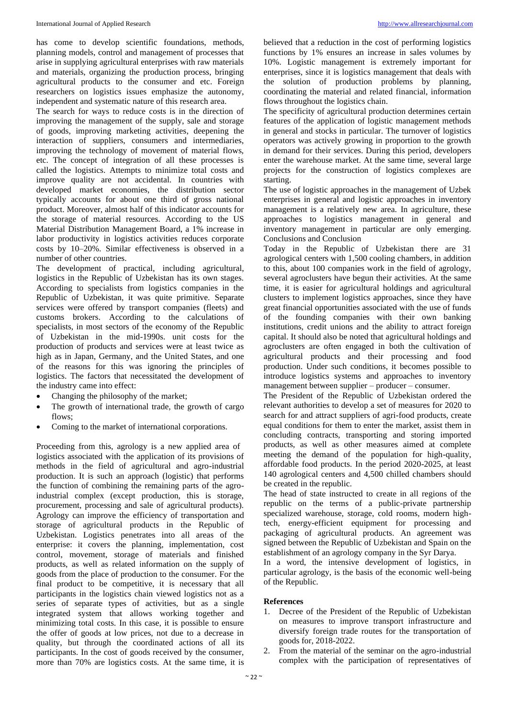has come to develop scientific foundations, methods, planning models, control and management of processes that arise in supplying agricultural enterprises with raw materials and materials, organizing the production process, bringing agricultural products to the consumer and etc. Foreign researchers on logistics issues emphasize the autonomy, independent and systematic nature of this research area.

The search for ways to reduce costs is in the direction of improving the management of the supply, sale and storage of goods, improving marketing activities, deepening the interaction of suppliers, consumers and intermediaries, improving the technology of movement of material flows, etc. The concept of integration of all these processes is called the logistics. Attempts to minimize total costs and improve quality are not accidental. In countries with developed market economies, the distribution sector typically accounts for about one third of gross national product. Moreover, almost half of this indicator accounts for the storage of material resources. According to the US Material Distribution Management Board, a 1% increase in labor productivity in logistics activities reduces corporate costs by 10–20%. Similar effectiveness is observed in a number of other countries.

The development of practical, including agricultural, logistics in the Republic of Uzbekistan has its own stages. According to specialists from logistics companies in the Republic of Uzbekistan, it was quite primitive. Separate services were offered by transport companies (fleets) and customs brokers. According to the calculations of specialists, in most sectors of the economy of the Republic of Uzbekistan in the mid-1990s. unit costs for the production of products and services were at least twice as high as in Japan, Germany, and the United States, and one of the reasons for this was ignoring the principles of logistics. The factors that necessitated the development of the industry came into effect:

- Changing the philosophy of the market;
- The growth of international trade, the growth of cargo flows;
- Coming to the market of international corporations.

Proceeding from this, agrology is a new applied area of logistics associated with the application of its provisions of methods in the field of agricultural and agro-industrial production. It is such an approach (logistic) that performs the function of combining the remaining parts of the agroindustrial complex (except production, this is storage, procurement, processing and sale of agricultural products). Agrology can improve the efficiency of transportation and storage of agricultural products in the Republic of Uzbekistan. Logistics penetrates into all areas of the enterprise: it covers the planning, implementation, cost control, movement, storage of materials and finished products, as well as related information on the supply of goods from the place of production to the consumer. For the final product to be competitive, it is necessary that all participants in the logistics chain viewed logistics not as a series of separate types of activities, but as a single integrated system that allows working together and minimizing total costs. In this case, it is possible to ensure the offer of goods at low prices, not due to a decrease in quality, but through the coordinated actions of all its participants. In the cost of goods received by the consumer, more than 70% are logistics costs. At the same time, it is

believed that a reduction in the cost of performing logistics functions by 1% ensures an increase in sales volumes by 10%. Logistic management is extremely important for enterprises, since it is logistics management that deals with the solution of production problems by planning, coordinating the material and related financial, information flows throughout the logistics chain.

The specificity of agricultural production determines certain features of the application of logistic management methods in general and stocks in particular. The turnover of logistics operators was actively growing in proportion to the growth in demand for their services. During this period, developers enter the warehouse market. At the same time, several large projects for the construction of logistics complexes are starting.

The use of logistic approaches in the management of Uzbek enterprises in general and logistic approaches in inventory management is a relatively new area. In agriculture, these approaches to logistics management in general and inventory management in particular are only emerging. Conclusions and Conclusion

Today in the Republic of Uzbekistan there are 31 agrological centers with 1,500 cooling chambers, in addition to this, about 100 companies work in the field of agrology, several agroclusters have begun their activities. At the same time, it is easier for agricultural holdings and agricultural clusters to implement logistics approaches, since they have great financial opportunities associated with the use of funds of the founding companies with their own banking institutions, credit unions and the ability to attract foreign capital. It should also be noted that agricultural holdings and agroclusters are often engaged in both the cultivation of agricultural products and their processing and food production. Under such conditions, it becomes possible to introduce logistics systems and approaches to inventory management between supplier – producer – consumer.

The President of the Republic of Uzbekistan ordered the relevant authorities to develop a set of measures for 2020 to search for and attract suppliers of agri-food products, create equal conditions for them to enter the market, assist them in concluding contracts, transporting and storing imported products, as well as other measures aimed at complete meeting the demand of the population for high-quality, affordable food products. In the period 2020-2025, at least 140 agrological centers and 4,500 chilled chambers should be created in the republic.

The head of state instructed to create in all regions of the republic on the terms of a public-private partnership specialized warehouse, storage, cold rooms, modern hightech, energy-efficient equipment for processing and packaging of agricultural products. An agreement was signed between the Republic of Uzbekistan and Spain on the establishment of an agrology company in the Syr Darya.

In a word, the intensive development of logistics, in particular agrology, is the basis of the economic well-being of the Republic.

### **References**

- 1. Decree of the President of the Republic of Uzbekistan on measures to improve transport infrastructure and diversify foreign trade routes for the transportation of goods for, 2018-2022.
- 2. From the material of the seminar on the agro-industrial complex with the participation of representatives of